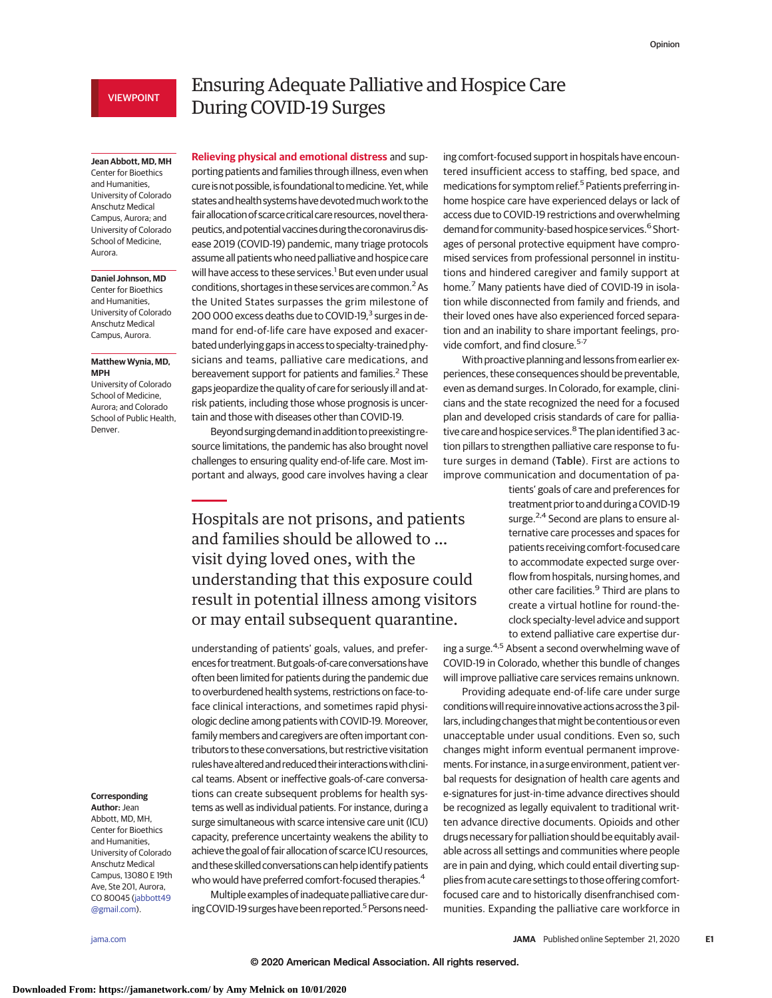## VIEWPOINT

## **Jean Abbott, MD, MH**

Center for Bioethics and Humanities, University of Colorado Anschutz Medical Campus, Aurora; and University of Colorado School of Medicine, Aurora.

### **Daniel Johnson, MD**

Center for Bioethics and Humanities, University of Colorado Anschutz Medical Campus, Aurora.

## **Matthew Wynia, MD, MPH**

University of Colorado School of Medicine, Aurora; and Colorado School of Public Health, Denver.

# Ensuring Adequate Palliative and Hospice Care During COVID-19 Surges

**Relieving physical and emotional distress** and supporting patients and families through illness, even when cure is not possible, is foundational to medicine. Yet, while statesandhealth systemshavedevotedmuchwork to the fair allocation of scarce critical care resources, novel therapeutics, and potential vaccines during the coronavirus disease 2019 (COVID-19) pandemic, many triage protocols assume all patients who need palliative and hospice care will have access to these services.<sup>1</sup> But even under usual conditions, shortages in these services are common.<sup>2</sup> As the United States surpasses the grim milestone of 200 000 excess deaths due to COVID-19,<sup>3</sup> surges in demand for end-of-life care have exposed and exacerbated underlying gaps in access to specialty-trained physicians and teams, palliative care medications, and bereavement support for patients and families.<sup>2</sup> These gaps jeopardize the quality of care for seriously ill and atrisk patients, including those whose prognosis is uncertain and those with diseases other than COVID-19.

Beyond surgingdemandinaddition topreexisting resource limitations, the pandemic has also brought novel challenges to ensuring quality end-of-life care. Most important and always, good care involves having a clear

Hospitals are not prisons, and patients and families should be allowed to … visit dying loved ones, with the understanding that this exposure could result in potential illness among visitors or may entail subsequent quarantine.

understanding of patients' goals, values, and preferences for treatment. But goals-of-care conversations have often been limited for patients during the pandemic due to overburdened health systems, restrictions on face-toface clinical interactions, and sometimes rapid physiologic decline among patients with COVID-19. Moreover, family members and caregivers are often important contributors to these conversations, but restrictive visitation ruleshavealteredand reduced theirinteractionswithclinical teams. Absent or ineffective goals-of-care conversations can create subsequent problems for health systems as well as individual patients. For instance, during a surge simultaneous with scarce intensive care unit (ICU) capacity, preference uncertainty weakens the ability to achieve the goal of fair allocation of scarce ICU resources, and these skilled conversations can help identify patients who would have preferred comfort-focused therapies.<sup>4</sup>

Multiple examples of inadequate palliative care during COVID-19 surges have been reported.<sup>5</sup> Persons needing comfort-focused support in hospitals have encountered insufficient access to staffing, bed space, and medications for symptom relief.<sup>5</sup> Patients preferring inhome hospice care have experienced delays or lack of access due to COVID-19 restrictions and overwhelming demand for community-based hospice services.<sup>6</sup> Shortages of personal protective equipment have compromised services from professional personnel in institutions and hindered caregiver and family support at home.<sup>7</sup> Many patients have died of COVID-19 in isolation while disconnected from family and friends, and their loved ones have also experienced forced separation and an inability to share important feelings, provide comfort, and find closure.<sup>5-7</sup>

With proactive planning and lessons from earlier experiences, these consequences should be preventable, even as demand surges. In Colorado, for example, clinicians and the state recognized the need for a focused plan and developed crisis standards of care for palliative care and hospice services.<sup>8</sup> The plan identified 3 action pillars to strengthen palliative care response to future surges in demand (Table). First are actions to improve communication and documentation of pa-

> tients' goals of care and preferences for treatment prior to and during a COVID-19 surge.<sup>2,4</sup> Second are plans to ensure alternative care processes and spaces for patients receiving comfort-focused care to accommodate expected surge overflow from hospitals, nursing homes, and other care facilities.<sup>9</sup> Third are plans to create a virtual hotline for round-theclock specialty-level advice and support to extend palliative care expertise dur-

ing a surge.<sup>4,5</sup> Absent a second overwhelming wave of COVID-19 in Colorado, whether this bundle of changes will improve palliative care services remains unknown.

Providing adequate end-of-life care under surge conditions will require innovative actions across the 3 pillars, including changes that might be contentious or even unacceptable under usual conditions. Even so, such changes might inform eventual permanent improvements. For instance, in a surge environment, patient verbal requests for designation of health care agents and e-signatures for just-in-time advance directives should be recognized as legally equivalent to traditional written advance directive documents. Opioids and other drugs necessary for palliation should be equitably available across all settings and communities where people are in pain and dying, which could entail diverting supplies from acute care settings to those offering comfortfocused care and to historically disenfranchised communities. Expanding the palliative care workforce in

**Corresponding Author:** Jean Abbott, MD, MH, Center for Bioethics and Humanities, University of Colorado Anschutz Medical Campus, 13080 E 19th Ave, Ste 201, Aurora,

CO 80045 [\(jabbott49](mailto:jabbott49@gmail.com) [@gmail.com\)](mailto:jabbott49@gmail.com).